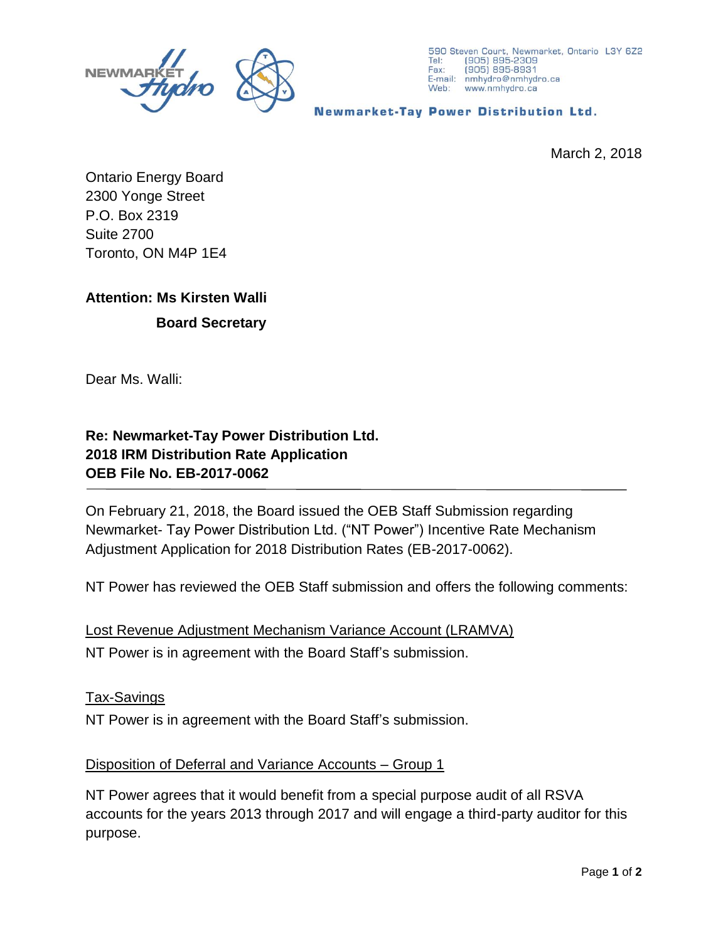

**Newmarket-Tay Power Distribution Ltd.** 

March 2, 2018

Ontario Energy Board 2300 Yonge Street P.O. Box 2319 Suite 2700 Toronto, ON M4P 1E4

# **Attention: Ms Kirsten Walli**

## **Board Secretary**

Dear Ms. Walli:

## **Re: Newmarket-Tay Power Distribution Ltd. 2018 IRM Distribution Rate Application OEB File No. EB-2017-0062**

On February 21, 2018, the Board issued the OEB Staff Submission regarding Newmarket- Tay Power Distribution Ltd. ("NT Power") Incentive Rate Mechanism Adjustment Application for 2018 Distribution Rates (EB-2017-0062).

NT Power has reviewed the OEB Staff submission and offers the following comments:

Lost Revenue Adjustment Mechanism Variance Account (LRAMVA) NT Power is in agreement with the Board Staff's submission.

### Tax-Savings

NT Power is in agreement with the Board Staff's submission.

### Disposition of Deferral and Variance Accounts – Group 1

NT Power agrees that it would benefit from a special purpose audit of all RSVA accounts for the years 2013 through 2017 and will engage a third-party auditor for this purpose.